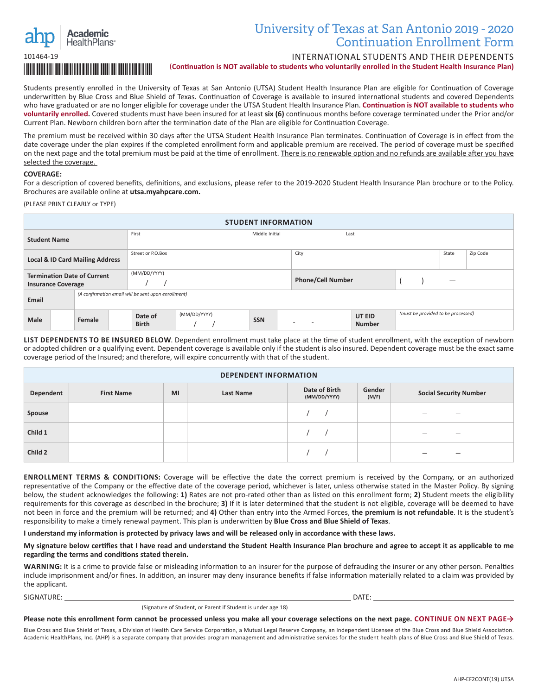

## University of Texas at San Antonio 2019 - 2020 Continuation Enrollment Form

INTERNATIONAL STUDENTS AND THEIR DEPENDENTS

(**Continuation is NOT available to students who voluntarily enrolled in the Student Health Insurance Plan)**

Students presently enrolled in the University of Texas at San Antonio (UTSA) Student Health Insurance Plan are eligible for Continuation of Coverage underwritten by Blue Cross and Blue Shield of Texas. Continuation of Coverage is available to insured international students and covered Dependents who have graduated or are no longer eligible for coverage under the UTSA Student Health Insurance Plan. **Continuation is NOT available to students who voluntarily enrolled.** Covered students must have been insured for at least **six (6)** continuous months before coverage terminated under the Prior and/or Current Plan. Newborn children born after the termination date of the Plan are eligible for Continuation Coverage.

The premium must be received within 30 days after the UTSA Student Health Insurance Plan terminates. Continuation of Coverage is in effect from the date coverage under the plan expires if the completed enrollment form and applicable premium are received. The period of coverage must be specified on the next page and the total premium must be paid at the time of enrollment. There is no renewable option and no refunds are available after you have selected the coverage.

## **COVERAGE:**

For a description of covered benefits, definitions, and exclusions, please refer to the 2019-2020 Student Health Insurance Plan brochure or to the Policy. Brochures are available online at **utsa.myahpcare.com.**

(PLEASE PRINT CLEARLY or TYPE)

| <b>STUDENT INFORMATION</b>                                      |                                                     |  |                         |              |            |  |                          |                         |  |  |                                    |          |
|-----------------------------------------------------------------|-----------------------------------------------------|--|-------------------------|--------------|------------|--|--------------------------|-------------------------|--|--|------------------------------------|----------|
| <b>Student Name</b>                                             |                                                     |  | First<br>Middle Initial |              |            |  | Last                     |                         |  |  |                                    |          |
| <b>Local &amp; ID Card Mailing Address</b>                      |                                                     |  | Street or P.O.Box       |              |            |  | City                     |                         |  |  | State                              | Zip Code |
| <b>Termination Date of Current</b><br><b>Insurance Coverage</b> |                                                     |  | (MM/DD/YYYY)            |              |            |  | <b>Phone/Cell Number</b> |                         |  |  |                                    |          |
| Email                                                           | (A confirmation email will be sent upon enrollment) |  |                         |              |            |  |                          |                         |  |  |                                    |          |
| Male                                                            | Female                                              |  | Date of<br><b>Birth</b> | (MM/DD/YYYY) | <b>SSN</b> |  | $\sim$<br>$\overline{a}$ | UT EID<br><b>Number</b> |  |  | (must be provided to be processed) |          |

**LIST DEPENDENTS TO BE INSURED BELOW**. Dependent enrollment must take place at the time of student enrollment, with the exception of newborn or adopted children or a qualifying event. Dependent coverage is available only if the student is also insured. Dependent coverage must be the exact same coverage period of the Insured; and therefore, will expire concurrently with that of the student.

| <b>DEPENDENT INFORMATION</b> |                   |    |           |                               |                 |                               |  |
|------------------------------|-------------------|----|-----------|-------------------------------|-----------------|-------------------------------|--|
| Dependent                    | <b>First Name</b> | MI | Last Name | Date of Birth<br>(MM/DD/YYYY) | Gender<br>(M/F) | <b>Social Security Number</b> |  |
| Spouse                       |                   |    |           |                               |                 | _<br>$\overline{\phantom{a}}$ |  |
| Child 1                      |                   |    |           |                               |                 | _<br>–                        |  |
| Child 2                      |                   |    |           |                               |                 | -                             |  |

**ENROLLMENT TERMS & CONDITIONS:** Coverage will be effective the date the correct premium is received by the Company, or an authorized representative of the Company or the effective date of the coverage period, whichever is later, unless otherwise stated in the Master Policy. By signing below, the student acknowledges the following: **1)** Rates are not pro-rated other than as listed on this enrollment form; **2)** Student meets the eligibility requirements for this coverage as described in the brochure; **3)** If it is later determined that the student is not eligible, coverage will be deemed to have not been in force and the premium will be returned; and **4)** Other than entry into the Armed Forces, **the premium is not refundable**. It is the student's responsibility to make a timely renewal payment. This plan is underwritten by **Blue Cross and Blue Shield of Texas**.

**I understand my information is protected by privacy laws and will be released only in accordance with these laws.**

**My signature below certifies that I have read and understand the Student Health Insurance Plan brochure and agree to accept it as applicable to me regarding the terms and conditions stated therein.**

**WARNING:** It is a crime to provide false or misleading information to an insurer for the purpose of defrauding the insurer or any other person. Penalties include imprisonment and/or fines. In addition, an insurer may deny insurance benefits if false information materially related to a claim was provided by the applicant.

SIGNATURE: DATE:

(Signature of Student, or Parent if Student is under age 18)

**Please note this enrollment form cannot be processed unless you make all your coverage selections on the next page. CONTINUE ON NEXT PAGE→**

Blue Cross and Blue Shield of Texas, a Division of Health Care Service Corporation, a Mutual Legal Reserve Company, an Independent Licensee of the Blue Cross and Blue Shield Association. Academic HealthPlans, Inc. (AHP) is a separate company that provides program management and administrative services for the student health plans of Blue Cross and Blue Shield of Texas.